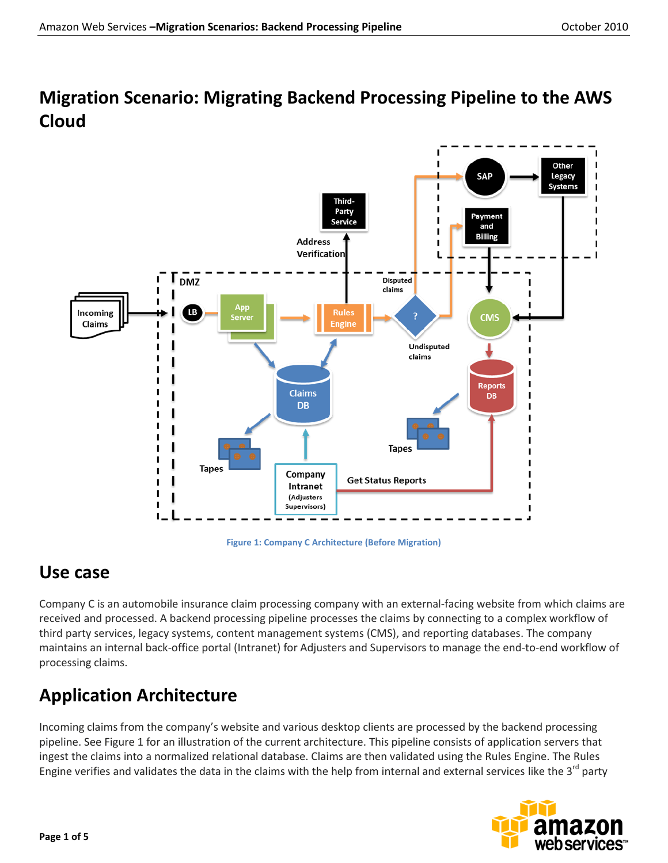## **Migration Scenario: Migrating Backend Processing Pipeline to the AWS Cloud**



**Figure 1: Company C Architecture (Before Migration)**

### **Use case**

Company C is an automobile insurance claim processing company with an external-facing website from which claims are received and processed. A backend processing pipeline processes the claims by connecting to a complex workflow of third party services, legacy systems, content management systems (CMS), and reporting databases. The company maintains an internal back-office portal (Intranet) for Adjusters and Supervisors to manage the end-to-end workflow of processing claims.

# **Application Architecture**

Incoming claims from the company's website and various desktop clients are processed by the backend processing pipeline. See Figure 1 for an illustration of the current architecture. This pipeline consists of application servers that ingest the claims into a normalized relational database. Claims are then validated using the Rules Engine. The Rules Engine verifies and validates the data in the claims with the help from internal and external services like the  $3^{rd}$  party

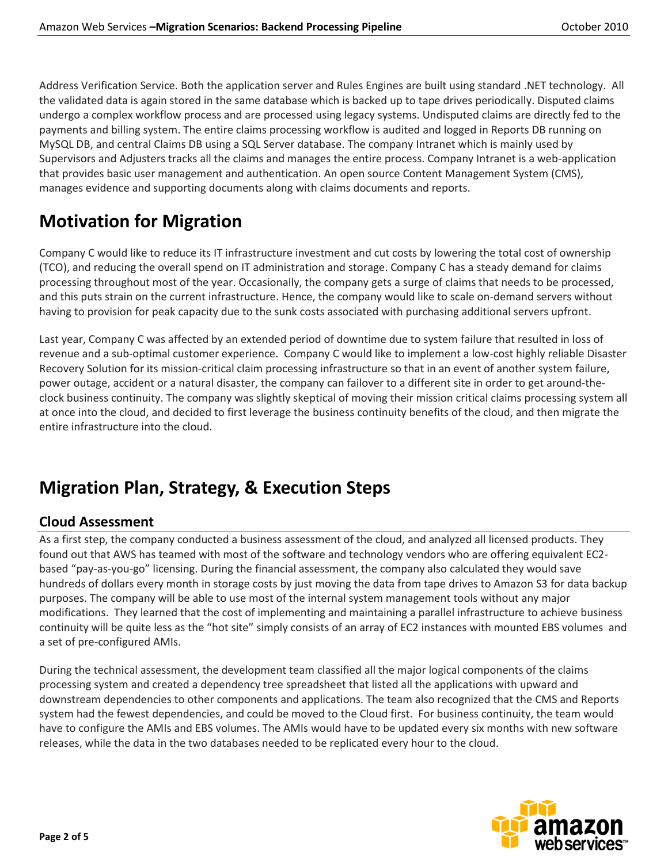Address Verification Service. Both the application server and Rules Engines are built using standard .NET technology. All the validated data is again stored in the same database which is backed up to tape drives periodically. Disputed claims undergo a complex workflow process and are processed using legacy systems. Undisputed claims are directly fed to the payments and billing system. The entire claims processing workflow is audited and logged in Reports DB running on MySQL DB, and central Claims DB using a SQL Server database. The company Intranet which is mainly used by Supervisors and Adjusters tracks all the claims and manages the entire process. Company Intranet is a web-application that provides basic user management and authentication. An open source Content Management System (CMS), manages evidence and supporting documents along with claims documents and reports.

## **Motivation for Migration**

Company C would like to reduce its IT infrastructure investment and cut costs by lowering the total cost of ownership (TCO), and reducing the overall spend on IT administration and storage. Company C has a steady demand for claims processing throughout most of the year. Occasionally, the company gets a surge of claims that needs to be processed, and this puts strain on the current infrastructure. Hence, the company would like to scale on-demand servers without having to provision for peak capacity due to the sunk costs associated with purchasing additional servers upfront.

Last year, Company C was affected by an extended period of downtime due to system failure that resulted in loss of revenue and a sub-optimal customer experience. Company C would like to implement a low-cost highly reliable Disaster Recovery Solution for its mission-critical claim processing infrastructure so that in an event of another system failure, power outage, accident or a natural disaster, the company can failover to a different site in order to get around-theclock business continuity. The company was slightly skeptical of moving their mission critical claims processing system all at once into the cloud, and decided to first leverage the business continuity benefits of the cloud, and then migrate the entire infrastructure into the cloud.

## **Migration Plan, Strategy, & Execution Steps**

### **Cloud Assessment**

As a first step, the company conducted a business assessment of the cloud, and analyzed all licensed products. They found out that AWS has teamed with most of the software and technology vendors who are offering equivalent EC2 based "pay-as-you-go" licensing. During the financial assessment, the company also calculated they would save hundreds of dollars every month in storage costs by just moving the data from tape drives to Amazon S3 for data backup purposes. The company will be able to use most of the internal system management tools without any major modifications. They learned that the cost of implementing and maintaining a parallel infrastructure to achieve business continuity will be quite less as the "hot site" simply consists of an array of EC2 instances with mounted EBS volumes and a set of pre-configured AMIs.

During the technical assessment, the development team classified all the major logical components of the claims processing system and created a dependency tree spreadsheet that listed all the applications with upward and downstream dependencies to other components and applications. The team also recognized that the CMS and Reports system had the fewest dependencies, and could be moved to the Cloud first. For business continuity, the team would have to configure the AMIs and EBS volumes. The AMIs would have to be updated every six months with new software releases, while the data in the two databases needed to be replicated every hour to the cloud.

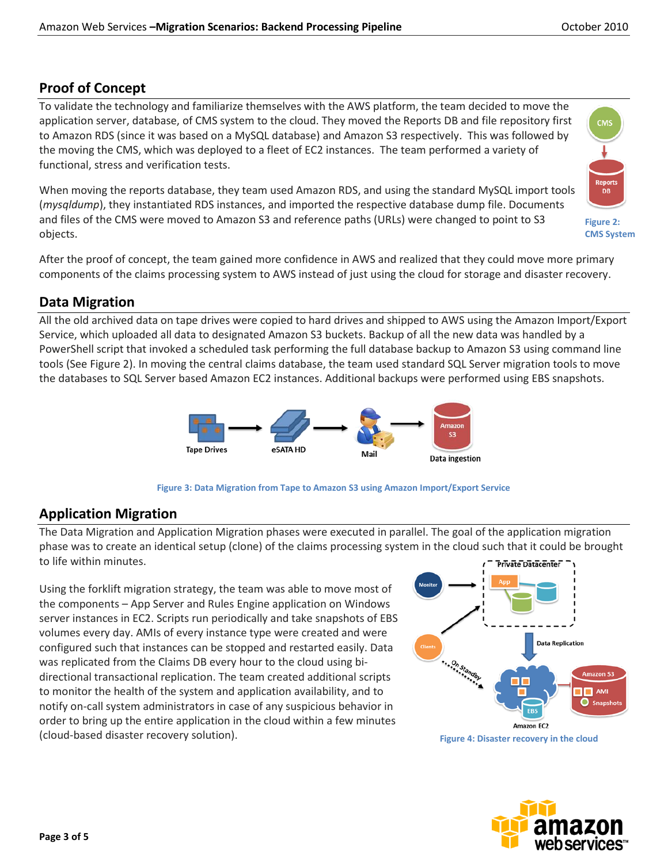### **Proof of Concept**

To validate the technology and familiarize themselves with the AWS platform, the team decided to move the application server, database, of CMS system to the cloud. They moved the Reports DB and file repository first to Amazon RDS (since it was based on a MySQL database) and Amazon S3 respectively. This was followed by the moving the CMS, which was deployed to a fleet of EC2 instances. The team performed a variety of functional, stress and verification tests.

When moving the reports database, they team used Amazon RDS, and using the standard MySQL import tools (*mysqldump*), they instantiated RDS instances, and imported the respective database dump file. Documents and files of the CMS were moved to Amazon S3 and reference paths (URLs) were changed to point to S3 objects.

After the proof of concept, the team gained more confidence in AWS and realized that they could move more primary components of the claims processing system to AWS instead of just using the cloud for storage and disaster recovery.

### **Data Migration**

All the old archived data on tape drives were copied to hard drives and shipped to AWS using the Amazon Import/Export Service, which uploaded all data to designated Amazon S3 buckets. Backup of all the new data was handled by a PowerShell script that invoked a scheduled task performing the full database backup to Amazon S3 using command line tools (See Figure 2). In moving the central claims database, the team used standard SQL Server migration tools to move the databases to SQL Server based Amazon EC2 instances. Additional backups were performed using EBS snapshots.





### **Application Migration**

The Data Migration and Application Migration phases were executed in parallel. The goal of the application migration phase was to create an identical setup (clone) of the claims processing system in the cloud such that it could be brought to life within minutes. Private Datacenter

Using the forklift migration strategy, the team was able to move most of the components – App Server and Rules Engine application on Windows server instances in EC2. Scripts run periodically and take snapshots of EBS volumes every day. AMIs of every instance type were created and were configured such that instances can be stopped and restarted easily. Data was replicated from the Claims DB every hour to the cloud using bidirectional transactional replication. The team created additional scripts to monitor the health of the system and application availability, and to notify on-call system administrators in case of any suspicious behavior in order to bring up the entire application in the cloud within a few minutes (cloud-based disaster recovery solution).







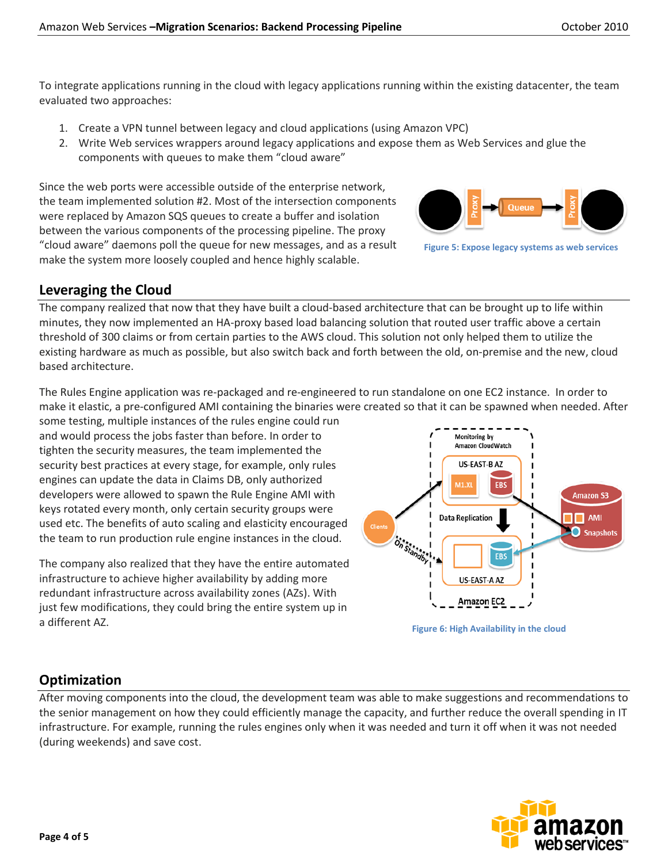To integrate applications running in the cloud with legacy applications running within the existing datacenter, the team evaluated two approaches:

- 1. Create a VPN tunnel between legacy and cloud applications (using Amazon VPC)
- 2. Write Web services wrappers around legacy applications and expose them as Web Services and glue the components with queues to make them "cloud aware"

Since the web ports were accessible outside of the enterprise network, the team implemented solution #2. Most of the intersection components were replaced by Amazon SQS queues to create a buffer and isolation between the various components of the processing pipeline. The proxy "cloud aware" daemons poll the queue for new messages, and as a result make the system more loosely coupled and hence highly scalable.

### **Leveraging the Cloud**

The company realized that now that they have built a cloud-based architecture that can be brought up to life within minutes, they now implemented an HA-proxy based load balancing solution that routed user traffic above a certain threshold of 300 claims or from certain parties to the AWS cloud. This solution not only helped them to utilize the existing hardware as much as possible, but also switch back and forth between the old, on-premise and the new, cloud based architecture.

The Rules Engine application was re-packaged and re-engineered to run standalone on one EC2 instance. In order to make it elastic, a pre-configured AMI containing the binaries were created so that it can be spawned when needed. After

some testing, multiple instances of the rules engine could run and would process the jobs faster than before. In order to tighten the security measures, the team implemented the security best practices at every stage, for example, only rules engines can update the data in Claims DB, only authorized developers were allowed to spawn the Rule Engine AMI with keys rotated every month, only certain security groups were used etc. The benefits of auto scaling and elasticity encouraged the team to run production rule engine instances in the cloud.

The company also realized that they have the entire automated infrastructure to achieve higher availability by adding more redundant infrastructure across availability zones (AZs). With just few modifications, they could bring the entire system up in a different AZ.



**Figure 5: Expose legacy systems as web services**



### **Optimization**

After moving components into the cloud, the development team was able to make suggestions and recommendations to the senior management on how they could efficiently manage the capacity, and further reduce the overall spending in IT infrastructure. For example, running the rules engines only when it was needed and turn it off when it was not needed (during weekends) and save cost.